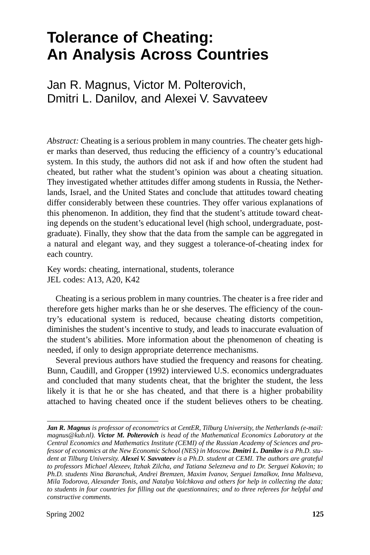# **Tolerance of Cheating: An Analysis Across Countries**

Jan R. Magnus, Victor M. Polterovich, Dmitri L. Danilov, and Alexei V. Savvateev

*Abstract:* Cheating is a serious problem in many countries. The cheater gets higher marks than deserved, thus reducing the efficiency of a country's educational system. In this study, the authors did not ask if and how often the student had cheated, but rather what the student's opinion was about a cheating situation. They investigated whether attitudes differ among students in Russia, the Netherlands, Israel, and the United States and conclude that attitudes toward cheating differ considerably between these countries. They offer various explanations of this phenomenon. In addition, they find that the student's attitude toward cheating depends on the student's educational level (high school, undergraduate, postgraduate). Finally, they show that the data from the sample can be aggregated in a natural and elegant way, and they suggest a tolerance-of-cheating index for each country.

Key words: cheating, international, students, tolerance JEL codes: A13, A20, K42

Cheating is a serious problem in many countries. The cheater is a free rider and therefore gets higher marks than he or she deserves. The efficiency of the country's educational system is reduced, because cheating distorts competition, diminishes the student's incentive to study, and leads to inaccurate evaluation of the student's abilities. More information about the phenomenon of cheating is needed, if only to design appropriate deterrence mechanisms.

Several previous authors have studied the frequency and reasons for cheating. Bunn, Caudill, and Gropper (1992) interviewed U.S. economics undergraduates and concluded that many students cheat, that the brighter the student, the less likely it is that he or she has cheated, and that there is a higher probability attached to having cheated once if the student believes others to be cheating.

*Jan R. Magnus is professor of econometrics at CentER, Tilburg University, the Netherlands (e-mail: magnus@kub.nl). Victor M. Polterovich is head of the Mathematical Economics Laboratory at the Central Economics and Mathematics Institute (CEMI) of the Russian Academy of Sciences and professor of economics at the New Economic School (NES) in Moscow. Dmitri L. Danilov is a Ph.D. student at Tilburg University. Alexei V. Savvateev is a Ph.D. student at CEMI. The authors are grateful to professors Michael Alexeev, Itzhak Zilcha, and Tatiana Selezneva and to Dr. Serguei Kokovin; to Ph.D. students Nina Baranchuk, Andrei Bremzen, Maxim Ivanov, Serguei Izmalkov, Inna Maltseva, Mila Todorova, Alexander Tonis, and Natalya Volchkova and others for help in collecting the data; to students in four countries for filling out the questionnaires; and to three referees for helpful and constructive comments.*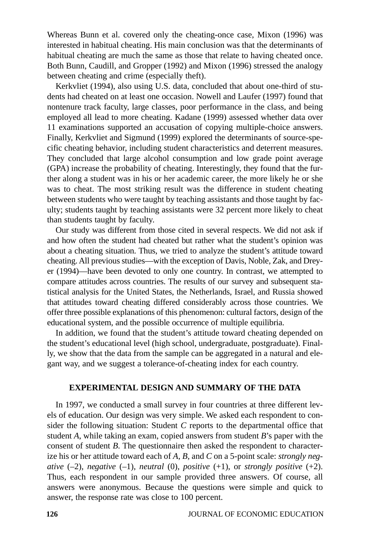Whereas Bunn et al. covered only the cheating-once case, Mixon (1996) was interested in habitual cheating. His main conclusion was that the determinants of habitual cheating are much the same as those that relate to having cheated once. Both Bunn, Caudill, and Gropper (1992) and Mixon (1996) stressed the analogy between cheating and crime (especially theft).

Kerkvliet (1994), also using U.S. data, concluded that about one-third of students had cheated on at least one occasion. Nowell and Laufer (1997) found that nontenure track faculty, large classes, poor performance in the class, and being employed all lead to more cheating. Kadane (1999) assessed whether data over 11 examinations supported an accusation of copying multiple-choice answers. Finally, Kerkvliet and Sigmund (1999) explored the determinants of source-specific cheating behavior, including student characteristics and deterrent measures. They concluded that large alcohol consumption and low grade point average (GPA) increase the probability of cheating. Interestingly, they found that the further along a student was in his or her academic career, the more likely he or she was to cheat. The most striking result was the difference in student cheating between students who were taught by teaching assistants and those taught by faculty; students taught by teaching assistants were 32 percent more likely to cheat than students taught by faculty.

Our study was different from those cited in several respects. We did not ask if and how often the student had cheated but rather what the student's opinion was about a cheating situation. Thus, we tried to analyze the student's attitude toward cheating. All previous studies—with the exception of Davis, Noble, Zak, and Dreyer (1994)—have been devoted to only one country. In contrast, we attempted to compare attitudes across countries. The results of our survey and subsequent statistical analysis for the United States, the Netherlands, Israel, and Russia showed that attitudes toward cheating differed considerably across those countries. We offer three possible explanations of this phenomenon: cultural factors, design of the educational system, and the possible occurrence of multiple equilibria.

In addition, we found that the student's attitude toward cheating depended on the student's educational level (high school, undergraduate, postgraduate). Finally, we show that the data from the sample can be aggregated in a natural and elegant way, and we suggest a tolerance-of-cheating index for each country.

#### **EXPERIMENTAL DESIGN AND SUMMARY OF THE DATA**

In 1997, we conducted a small survey in four countries at three different levels of education. Our design was very simple. We asked each respondent to consider the following situation: Student *C* reports to the departmental office that student *A*, while taking an exam, copied answers from student *B*'s paper with the consent of student *B*. The questionnaire then asked the respondent to characterize his or her attitude toward each of *A, B,* and *C* on a 5-point scale: *strongly negative*  $(-2)$ , *negative*  $(-1)$ , *neutral*  $(0)$ , *positive*  $(+1)$ , or *strongly positive*  $(+2)$ . Thus, each respondent in our sample provided three answers. Of course, all answers were anonymous. Because the questions were simple and quick to answer, the response rate was close to 100 percent.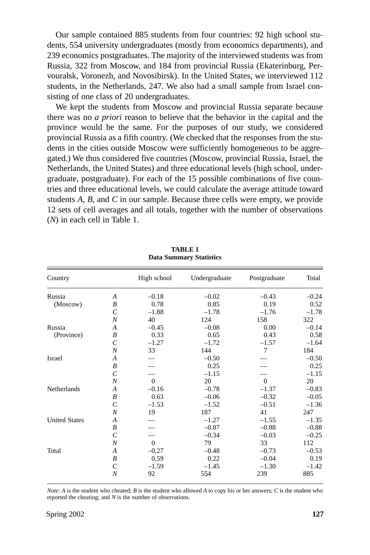Our sample contained 885 students from four countries: 92 high school students, 554 university undergraduates (mostly from economics departments), and 239 economics postgraduates. The majority of the interviewed students was from Russia, 322 from Moscow, and 184 from provincial Russia (Ekaterinburg, Pervouralsk, Voronezh, and Novosibirsk). In the United States, we interviewed 112 students, in the Netherlands, 247. We also had a small sample from Israel consisting of one class of 20 undergraduates.

We kept the students from Moscow and provincial Russia separate because there was no *a priori* reason to believe that the behavior in the capital and the province would be the same. For the purposes of our study, we considered provincial Russia as a fifth country. (We checked that the responses from the students in the cities outside Moscow were sufficiently homogeneous to be aggregated.) We thus considered five countries (Moscow, provincial Russia, Israel, the Netherlands, the United States) and three educational levels (high school, undergraduate, postgraduate). For each of the 15 possible combinations of five countries and three educational levels, we could calculate the average attitude toward students *A, B,* and *C* in our sample. Because three cells were empty, we provide 12 sets of cell averages and all totals, together with the number of observations (*N*) in each cell in Table 1.

| Country              |                         | High school | Undergraduate | Postgraduate | Total   |
|----------------------|-------------------------|-------------|---------------|--------------|---------|
| Russia               | A                       | $-0.18$     | $-0.02$       | $-0.43$      | $-0.24$ |
| (Moscow)             | B                       | 0.78        | 0.85          | 0.19         | 0.52    |
|                      | $\mathcal{C}_{0}^{(n)}$ | $-1.88$     | $-1.78$       | $-1.76$      | $-1.78$ |
|                      | N                       | 40          | 124           | 158          | 322     |
| Russia               | $\boldsymbol{A}$        | $-0.45$     | $-0.08$       | 0.00         | $-0.14$ |
| (Province)           | B                       | 0.33        | 0.65          | 0.43         | 0.58    |
|                      | $\mathcal{C}_{0}^{(n)}$ | $-1.27$     | $-1.72$       | $-1.57$      | $-1.64$ |
|                      | N                       | 33          | 144           | 7            | 184     |
| Israel               | A                       |             | $-0.50$       |              | $-0.50$ |
|                      | B                       |             | 0.25          |              | 0.25    |
|                      | $\mathcal{C}_{0}^{(n)}$ |             | $-1.15$       |              | $-1.15$ |
|                      | N                       | $\Omega$    | 20            | $\Omega$     | 20      |
| Netherlands          | $\boldsymbol{A}$        | $-0.16$     | $-0.78$       | $-1.37$      | $-0.83$ |
|                      | B                       | 0.63        | $-0.06$       | $-0.32$      | $-0.05$ |
|                      | $\mathcal{C}_{0}^{(n)}$ | $-1.53$     | $-1.52$       | $-0.51$      | $-1.36$ |
|                      | $\boldsymbol{N}$        | 19          | 187           | 41           | 247     |
| <b>United States</b> | A                       |             | $-1.27$       | $-1.55$      | $-1.35$ |
|                      | B                       |             | $-0.87$       | $-0.88$      | $-0.88$ |
|                      | $\mathcal{C}_{0}^{0}$   |             | $-0.34$       | $-0.03$      | $-0.25$ |
|                      | N                       | $\theta$    | 79            | 33           | 112     |
| Total                | A                       | $-0.27$     | $-0.48$       | $-0.73$      | $-0.53$ |
|                      | B                       | 0.59        | 0.22          | $-0.04$      | 0.19    |
|                      | $\mathcal{C}_{0}^{(n)}$ | $-1.59$     | $-1.45$       | $-1.30$      | $-1.42$ |
|                      | N                       | 92          | 554           | 239          | 885     |

**TABLE 1 Data Summary Statistics**

*Note: A* is the student who cheated; *B* is the student who allowed *A* to copy his or her answers; *C* is the student who reported the cheating; and *N* is the number of observations.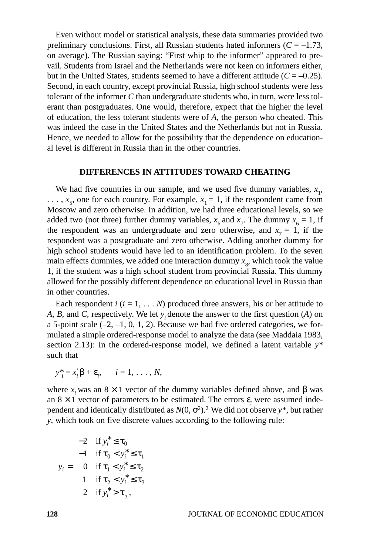Even without model or statistical analysis, these data summaries provided two preliminary conclusions. First, all Russian students hated informers  $(C = -1.73)$ , on average). The Russian saying: "First whip to the informer" appeared to prevail. Students from Israel and the Netherlands were not keen on informers either, but in the United States, students seemed to have a different attitude  $(C = -0.25)$ . Second, in each country, except provincial Russia, high school students were less tolerant of the informer *C* than undergraduate students who, in turn, were less tolerant than postgraduates. One would, therefore, expect that the higher the level of education, the less tolerant students were of *A*, the person who cheated. This was indeed the case in the United States and the Netherlands but not in Russia. Hence, we needed to allow for the possibility that the dependence on educational level is different in Russia than in the other countries.

#### **DIFFERENCES IN ATTITUDES TOWARD CHEATING**

We had five countries in our sample, and we used five dummy variables,  $x_1$ ,  $\ldots$ ,  $x_5$ , one for each country. For example,  $x_1 = 1$ , if the respondent came from Moscow and zero otherwise. In addition, we had three educational levels, so we added two (not three) further dummy variables,  $x_6$  and  $x_7$ . The dummy  $x_6 = 1$ , if the respondent was an undergraduate and zero otherwise, and  $x_7 = 1$ , if the respondent was a postgraduate and zero otherwise. Adding another dummy for high school students would have led to an identification problem. To the seven main effects dummies, we added one interaction dummy  $x<sub>8</sub>$ , which took the value 1, if the student was a high school student from provincial Russia. This dummy allowed for the possibly different dependence on educational level in Russia than in other countries.

Each respondent  $i$  ( $i = 1, \ldots N$ ) produced three answers, his or her attitude to *A, B,* and *C,* respectively. We let *yi* denote the answer to the first question (*A*) on a 5-point scale  $(-2, -1, 0, 1, 2)$ . Because we had five ordered categories, we formulated a simple ordered-response model to analyze the data (see Maddaia 1983, section 2.13): In the ordered-response model, we defined a latent variable *y\** such that

$$
y_i^* = x_i' \beta + \varepsilon_i, \qquad i = 1, \ldots, N,
$$

where  $x_i$  was an  $8 \times 1$  vector of the dummy variables defined above, and  $\beta$  was an  $8 \times 1$  vector of parameters to be estimated. The errors  $\varepsilon$ <sub>*i*</sub> were assumed independent and identically distributed as  $N(0, \sigma^2)$ .<sup>2</sup> We did not observe  $y^*$ , but rather *y*, which took on five discrete values according to the following rule:

$$
y_i = \begin{cases}\n-2 & \text{if } y_i^* \le \tau_0 \\
-1 & \text{if } \tau_0 < y_i^* \le \tau_1 \\
0 & \text{if } \tau_1 < y_i^* \le \tau_2 \\
1 & \text{if } \tau_2 < y_i^* \le \tau_3 \\
2 & \text{if } y_i^* > \tau_3\n\end{cases}
$$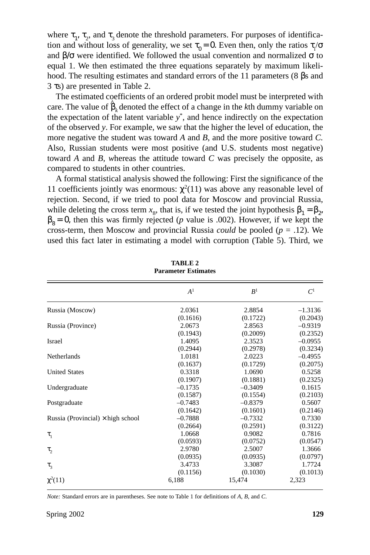where  $\tau_1$ ,  $\tau_2$ , and  $\tau_3$  denote the threshold parameters. For purposes of identification and without loss of generality, we set  $\tau_0 = 0$ . Even then, only the ratios  $\tau_1/\sigma$ and  $\beta/\sigma$  were identified. We followed the usual convention and normalized  $\sigma$  to equal 1. We then estimated the three equations separately by maximum likelihood. The resulting estimates and standard errors of the 11 parameters (8 βs and 3 τs) are presented in Table 2.

The estimated coefficients of an ordered probit model must be interpreted with care. The value of  $\hat{\beta}_k$  denoted the effect of a change in the *k*th dummy variable on the expectation of the latent variable *y*\* , and hence indirectly on the expectation of the observed *y*. For example, we saw that the higher the level of education, the more negative the student was toward *A* and *B*, and the more positive toward *C.* Also, Russian students were most positive (and U.S. students most negative) toward *A* and *B, w*hereas the attitude toward *C* was precisely the opposite, as compared to students in other countries.

A formal statistical analysis showed the following: First the significance of the 11 coefficients jointly was enormous:  $\chi^2(11)$  was above any reasonable level of rejection. Second, if we tried to pool data for Moscow and provincial Russia, while deleting the cross term  $x_8$ , that is, if we tested the joint hypothesis  $\beta_1 = \beta_2$ ,  $\beta_8 = 0$ , then this was firmly rejected (*p* value is .002). However, if we kept the cross-term, then Moscow and provincial Russia *could* be pooled (*p* = .12). We used this fact later in estimating a model with corruption (Table 5). Third, we

|                                          | $A^1$     | $B^1$     | C <sup>1</sup> |
|------------------------------------------|-----------|-----------|----------------|
| Russia (Moscow)                          | 2.0361    | 2.8854    | $-1.3136$      |
|                                          | (0.1616)  | (0.1722)  | (0.2043)       |
| Russia (Province)                        | 2.0673    | 2.8563    | $-0.9319$      |
|                                          | (0.1943)  | (0.2009)  | (0.2352)       |
| Israel                                   | 1.4095    | 2.3523    | $-0.0955$      |
|                                          | (0.2944)  | (0.2978)  | (0.3234)       |
| Netherlands                              | 1.0181    | 2.0223    | $-0.4955$      |
|                                          | (0.1637)  | (0.1729)  | (0.2075)       |
| <b>United States</b>                     | 0.3318    | 1.0690    | 0.5258         |
|                                          | (0.1907)  | (0.1881)  | (0.2325)       |
| Undergraduate                            | $-0.1735$ | $-0.3409$ | 0.1615         |
|                                          | (0.1587)  | (0.1554)  | (0.2103)       |
| Postgraduate                             | $-0.7483$ | $-0.8379$ | 0.5607         |
|                                          | (0.1642)  | (0.1601)  | (0.2146)       |
| Russia (Provincial) $\times$ high school | $-0.7888$ | $-0.7332$ | 0.7330         |
|                                          | (0.2664)  | (0.2591)  | (0.3122)       |
| $\tau_{1}$                               | 1.0668    | 0.9082    | 0.7816         |
|                                          | (0.0593)  | (0.0752)  | (0.0547)       |
| $\tau_{2}$                               | 2.9780    | 2.5007    | 1.3666         |
|                                          | (0.0935)  | (0.0935)  | (0.0797)       |
| $\tau_{3}$                               | 3.4733    | 3.3087    | 1.7724         |
|                                          | (0.1156)  | (0.1030)  | (0.1013)       |
| $\chi^2(11)$                             | 6,188     | 15,474    | 2,323          |
|                                          |           |           |                |

**TABLE 2 Parameter Estimates**

*Note:* Standard errors are in parentheses. See note to Table 1 for definitions of *A*, *B*, and *C*.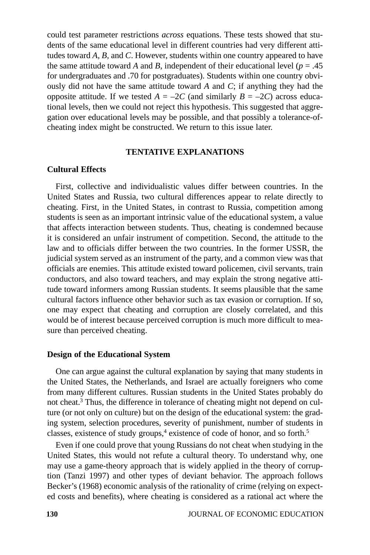could test parameter restrictions *across* equations. These tests showed that students of the same educational level in different countries had very different attitudes toward *A, B,* and *C*. However, students within one country appeared to have the same attitude toward *A* and *B*, independent of their educational level ( $p = .45$ ) for undergraduates and .70 for postgraduates). Students within one country obviously did not have the same attitude toward *A* and *C*; if anything they had the opposite attitude. If we tested  $A = -2C$  (and similarly  $B = -2C$ ) across educational levels, then we could not reject this hypothesis. This suggested that aggregation over educational levels may be possible, and that possibly a tolerance-ofcheating index might be constructed. We return to this issue later.

# **TENTATIVE EXPLANATIONS**

# **Cultural Effects**

First, collective and individualistic values differ between countries. In the United States and Russia, two cultural differences appear to relate directly to cheating. First, in the United States, in contrast to Russia, competition among students is seen as an important intrinsic value of the educational system, a value that affects interaction between students. Thus, cheating is condemned because it is considered an unfair instrument of competition. Second, the attitude to the law and to officials differ between the two countries. In the former USSR, the judicial system served as an instrument of the party, and a common view was that officials are enemies. This attitude existed toward policemen, civil servants, train conductors, and also toward teachers, and may explain the strong negative attitude toward informers among Russian students. It seems plausible that the same cultural factors influence other behavior such as tax evasion or corruption. If so, one may expect that cheating and corruption are closely correlated, and this would be of interest because perceived corruption is much more difficult to measure than perceived cheating.

### **Design of the Educational System**

One can argue against the cultural explanation by saying that many students in the United States, the Netherlands, and Israel are actually foreigners who come from many different cultures. Russian students in the United States probably do not cheat.<sup>3</sup> Thus, the difference in tolerance of cheating might not depend on culture (or not only on culture) but on the design of the educational system: the grading system, selection procedures, severity of punishment, number of students in classes, existence of study groups,<sup>4</sup> existence of code of honor, and so forth.<sup>5</sup>

Even if one could prove that young Russians do not cheat when studying in the United States, this would not refute a cultural theory. To understand why, one may use a game-theory approach that is widely applied in the theory of corruption (Tanzi 1997) and other types of deviant behavior. The approach follows Becker's (1968) economic analysis of the rationality of crime (relying on expected costs and benefits), where cheating is considered as a rational act where the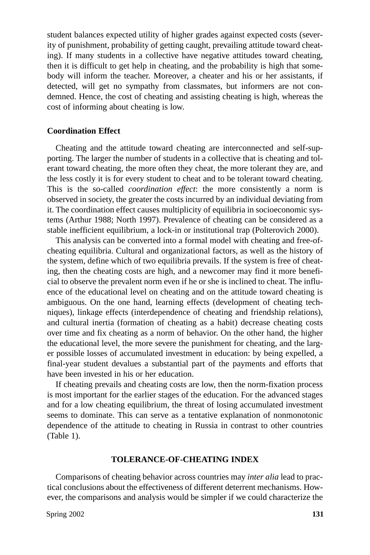student balances expected utility of higher grades against expected costs (severity of punishment, probability of getting caught, prevailing attitude toward cheating). If many students in a collective have negative attitudes toward cheating, then it is difficult to get help in cheating, and the probability is high that somebody will inform the teacher. Moreover, a cheater and his or her assistants, if detected, will get no sympathy from classmates, but informers are not condemned. Hence, the cost of cheating and assisting cheating is high, whereas the cost of informing about cheating is low.

# **Coordination Effect**

Cheating and the attitude toward cheating are interconnected and self-supporting. The larger the number of students in a collective that is cheating and tolerant toward cheating, the more often they cheat, the more tolerant they are, and the less costly it is for every student to cheat and to be tolerant toward cheating. This is the so-called *coordination effect*: the more consistently a norm is observed in society, the greater the costs incurred by an individual deviating from it. The coordination effect causes multiplicity of equilibria in socioeconomic systems (Arthur 1988; North 1997). Prevalence of cheating can be considered as a stable inefficient equilibrium, a lock-in or institutional trap (Polterovich 2000).

This analysis can be converted into a formal model with cheating and free-ofcheating equilibria. Cultural and organizational factors, as well as the history of the system, define which of two equilibria prevails. If the system is free of cheating, then the cheating costs are high, and a newcomer may find it more beneficial to observe the prevalent norm even if he or she is inclined to cheat. The influence of the educational level on cheating and on the attitude toward cheating is ambiguous. On the one hand, learning effects (development of cheating techniques), linkage effects (interdependence of cheating and friendship relations), and cultural inertia (formation of cheating as a habit) decrease cheating costs over time and fix cheating as a norm of behavior. On the other hand, the higher the educational level, the more severe the punishment for cheating, and the larger possible losses of accumulated investment in education: by being expelled, a final-year student devalues a substantial part of the payments and efforts that have been invested in his or her education.

If cheating prevails and cheating costs are low, then the norm-fixation process is most important for the earlier stages of the education. For the advanced stages and for a low cheating equilibrium, the threat of losing accumulated investment seems to dominate. This can serve as a tentative explanation of nonmonotonic dependence of the attitude to cheating in Russia in contrast to other countries (Table 1).

## **TOLERANCE-OF-CHEATING INDEX**

Comparisons of cheating behavior across countries may *inter alia* lead to practical conclusions about the effectiveness of different deterrent mechanisms. However, the comparisons and analysis would be simpler if we could characterize the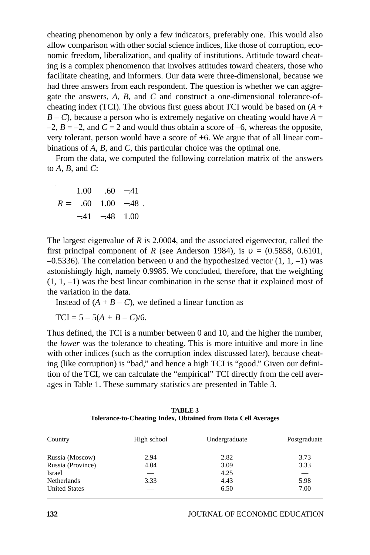cheating phenomenon by only a few indicators, preferably one. This would also allow comparison with other social science indices, like those of corruption, economic freedom, liberalization, and quality of institutions. Attitude toward cheating is a complex phenomenon that involves attitudes toward cheaters, those who facilitate cheating, and informers. Our data were three-dimensional, because we had three answers from each respondent. The question is whether we can aggregate the answers, *A, B,* and *C* and construct a one-dimensional tolerance-ofcheating index (TCI). The obvious first guess about TCI would be based on  $(A +$  $B - C$ ), because a person who is extremely negative on cheating would have  $A =$  $-2$ ,  $B = -2$ , and  $C = 2$  and would thus obtain a score of  $-6$ , whereas the opposite, very tolerant, person would have a score of +6. We argue that of all linear combinations of *A, B,* and *C*, this particular choice was the optimal one.

From the data, we computed the following correlation matrix of the answers to *A, B,* and *C*:

$$
R = \begin{pmatrix} 1.00 & .60 & -.41 \\ .60 & 1.00 & -.48 \\ -.41 & -.48 & 1.00 \end{pmatrix}.
$$

The largest eigenvalue of *R* is 2.0004, and the associated eigenvector, called the first principal component of *R* (see Anderson 1984), is  $v = (0.5858, 0.6101,$  $-0.5336$ ). The correlation between v and the hypothesized vector  $(1, 1, -1)$  was astonishingly high, namely 0.9985. We concluded, therefore, that the weighting  $(1, 1, -1)$  was the best linear combination in the sense that it explained most of the variation in the data.

Instead of  $(A + B - C)$ , we defined a linear function as

 $TCI = 5 - 5(A + B - C)/6.$ 

Thus defined, the TCI is a number between 0 and 10, and the higher the number, the *lower* was the tolerance to cheating. This is more intuitive and more in line with other indices (such as the corruption index discussed later), because cheating (like corruption) is "bad," and hence a high TCI is "good." Given our definition of the TCI, we can calculate the "empirical" TCI directly from the cell averages in Table 1. These summary statistics are presented in Table 3.

| Tolerance-to-Cheating Index, Obtained from Data Cell Averages |             |               |              |
|---------------------------------------------------------------|-------------|---------------|--------------|
| Country                                                       | High school | Undergraduate | Postgraduate |
| Russia (Moscow)                                               | 2.94        | 2.82          | 3.73         |
| Russia (Province)                                             | 4.04        | 3.09          | 3.33         |
| Israel                                                        |             | 4.25          |              |
| <b>Netherlands</b>                                            | 3.33        | 4.43          | 5.98         |
| <b>United States</b>                                          |             | 6.50          | 7.00         |

**TABLE 3 Tolerance-to-Cheating Index, Obtained from Data Cell Averages**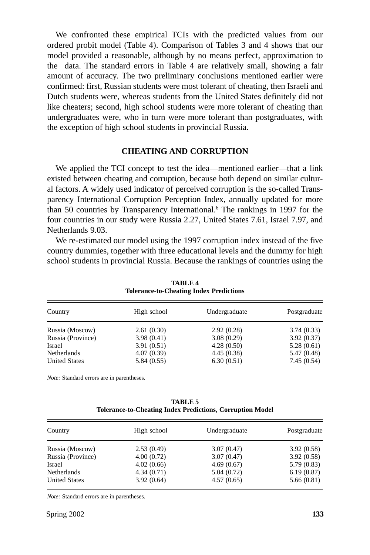We confronted these empirical TCIs with the predicted values from our ordered probit model (Table 4). Comparison of Tables 3 and 4 shows that our model provided a reasonable, although by no means perfect, approximation to the data. The standard errors in Table 4 are relatively small, showing a fair amount of accuracy. The two preliminary conclusions mentioned earlier were confirmed: first, Russian students were most tolerant of cheating, then Israeli and Dutch students were, whereas students from the United States definitely did not like cheaters; second, high school students were more tolerant of cheating than undergraduates were, who in turn were more tolerant than postgraduates, with the exception of high school students in provincial Russia.

# **CHEATING AND CORRUPTION**

We applied the TCI concept to test the idea—mentioned earlier—that a link existed between cheating and corruption, because both depend on similar cultural factors. A widely used indicator of perceived corruption is the so-called Transparency International Corruption Perception Index, annually updated for more than 50 countries by Transparency International.6 The rankings in 1997 for the four countries in our study were Russia 2.27, United States 7.61, Israel 7.97, and Netherlands 9.03.

We re-estimated our model using the 1997 corruption index instead of the five country dummies, together with three educational levels and the dummy for high school students in provincial Russia. Because the rankings of countries using the

| Country              | High school | Undergraduate | Postgraduate |
|----------------------|-------------|---------------|--------------|
| Russia (Moscow)      | 2.61(0.30)  | 2.92(0.28)    | 3.74(0.33)   |
| Russia (Province)    | 3.98(0.41)  | 3.08(0.29)    | 3.92(0.37)   |
| Israel               | 3.91(0.51)  | 4.28(0.50)    | 5.28(0.61)   |
| <b>Netherlands</b>   | 4.07(0.39)  | 4.45(0.38)    | 5.47 (0.48)  |
| <b>United States</b> | 5.84(0.55)  | 6.30(0.51)    | 7.45(0.54)   |

**TABLE 4 Tolerance-to-Cheating Index Predictions**

*Note:* Standard errors are in parentheses.

**TABLE 5 Tolerance-to-Cheating Index Predictions, Corruption Model**

| Country              | High school | Undergraduate | Postgraduate |
|----------------------|-------------|---------------|--------------|
| Russia (Moscow)      | 2.53(0.49)  | 3.07(0.47)    | 3.92(0.58)   |
| Russia (Province)    | 4.00(0.72)  | 3.07(0.47)    | 3.92(0.58)   |
| Israel               | 4.02(0.66)  | 4.69(0.67)    | 5.79(0.83)   |
| <b>Netherlands</b>   | 4.34(0.71)  | 5.04(0.72)    | 6.19(0.87)   |
| <b>United States</b> | 3.92(0.64)  | 4.57(0.65)    | 5.66(0.81)   |

*Note:* Standard errors are in parentheses.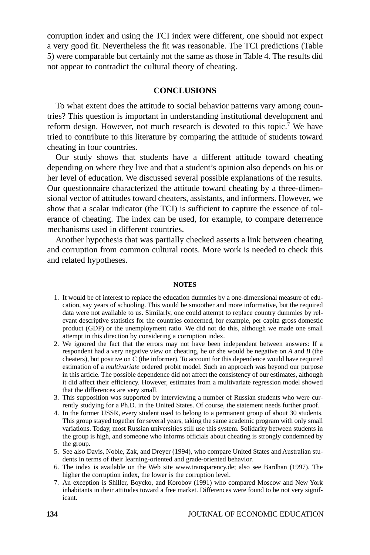corruption index and using the TCI index were different, one should not expect a very good fit. Nevertheless the fit was reasonable. The TCI predictions (Table 5) were comparable but certainly not the same as those in Table 4. The results did not appear to contradict the cultural theory of cheating.

## **CONCLUSIONS**

To what extent does the attitude to social behavior patterns vary among countries? This question is important in understanding institutional development and reform design. However, not much research is devoted to this topic.<sup>7</sup> We have tried to contribute to this literature by comparing the attitude of students toward cheating in four countries.

Our study shows that students have a different attitude toward cheating depending on where they live and that a student's opinion also depends on his or her level of education. We discussed several possible explanations of the results. Our questionnaire characterized the attitude toward cheating by a three-dimensional vector of attitudes toward cheaters, assistants, and informers. However, we show that a scalar indicator (the TCI) is sufficient to capture the essence of tolerance of cheating. The index can be used, for example, to compare deterrence mechanisms used in different countries.

Another hypothesis that was partially checked asserts a link between cheating and corruption from common cultural roots. More work is needed to check this and related hypotheses.

#### **NOTES**

- 1. It would be of interest to replace the education dummies by a one-dimensional measure of education, say years of schooling. This would be smoother and more informative, but the required data were not available to us. Similarly, one could attempt to replace country dummies by relevant descriptive statistics for the countries concerned, for example, per capita gross domestic product (GDP) or the unemployment ratio. We did not do this, although we made one small attempt in this direction by considering a corruption index.
- 2. We ignored the fact that the errors may not have been independent between answers: If a respondent had a very negative view on cheating, he or she would be negative on *A* and *B* (the cheaters), but positive on *C* (the informer). To account for this dependence would have required estimation of a *multivariate* ordered probit model. Such an approach was beyond our purpose in this article. The possible dependence did not affect the consistency of our estimates, although it did affect their efficiency. However, estimates from a multivariate regression model showed that the differences are very small.
- 3. This supposition was supported by interviewing a number of Russian students who were currently studying for a Ph.D. in the United States. Of course, the statement needs further proof.
- 4. In the former USSR, every student used to belong to a permanent group of about 30 students. This group stayed together for several years, taking the same academic program with only small variations. Today, most Russian universities still use this system. Solidarity between students in the group is high, and someone who informs officials about cheating is strongly condemned by the group.
- 5. See also Davis, Noble, Zak, and Dreyer (1994), who compare United States and Australian students in terms of their learning-oriented and grade-oriented behavior.
- 6. The index is available on the Web site www.transparency.de; also see Bardhan (1997). The higher the corruption index, the lower is the corruption level.
- 7. An exception is Shiller, Boycko, and Korobov (1991) who compared Moscow and New York inhabitants in their attitudes toward a free market. Differences were found to be not very significant.